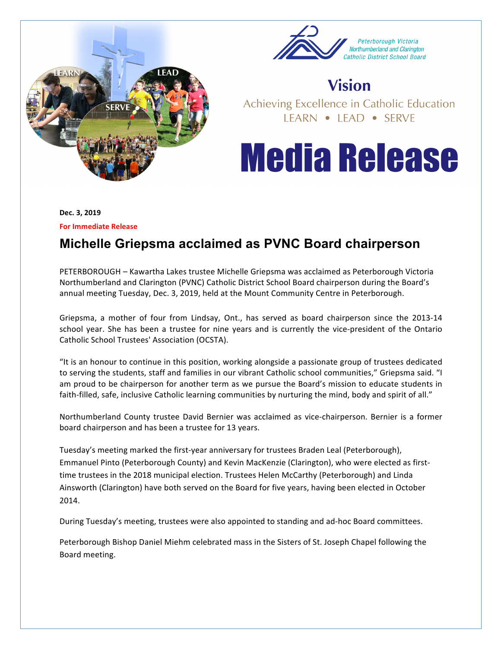



## **Vision**

Achieving Excellence in Catholic Education LEARN . LEAD . SERVE

## **Media Release**

**Dec. 3, 2019**

**For Immediate Release** 

## **Michelle Griepsma acclaimed as PVNC Board chairperson**

PETERBOROUGH – Kawartha Lakes trustee Michelle Griepsma was acclaimed as Peterborough Victoria Northumberland and Clarington (PVNC) Catholic District School Board chairperson during the Board's annual meeting Tuesday, Dec. 3, 2019, held at the Mount Community Centre in Peterborough.

Griepsma, a mother of four from Lindsay, Ont., has served as board chairperson since the 2013-14 school year. She has been a trustee for nine years and is currently the vice-president of the Ontario Catholic School Trustees' Association (OCSTA).

"It is an honour to continue in this position, working alongside a passionate group of trustees dedicated to serving the students, staff and families in our vibrant Catholic school communities," Griepsma said. "I am proud to be chairperson for another term as we pursue the Board's mission to educate students in faith-filled, safe, inclusive Catholic learning communities by nurturing the mind, body and spirit of all."

Northumberland County trustee David Bernier was acclaimed as vice-chairperson. Bernier is a former board chairperson and has been a trustee for 13 years.

Tuesday's meeting marked the first-year anniversary for trustees Braden Leal (Peterborough), Emmanuel Pinto (Peterborough County) and Kevin MacKenzie (Clarington), who were elected as firsttime trustees in the 2018 municipal election. Trustees Helen McCarthy (Peterborough) and Linda Ainsworth (Clarington) have both served on the Board for five years, having been elected in October 2014. 

During Tuesday's meeting, trustees were also appointed to standing and ad-hoc Board committees.

Peterborough Bishop Daniel Miehm celebrated mass in the Sisters of St. Joseph Chapel following the Board meeting.